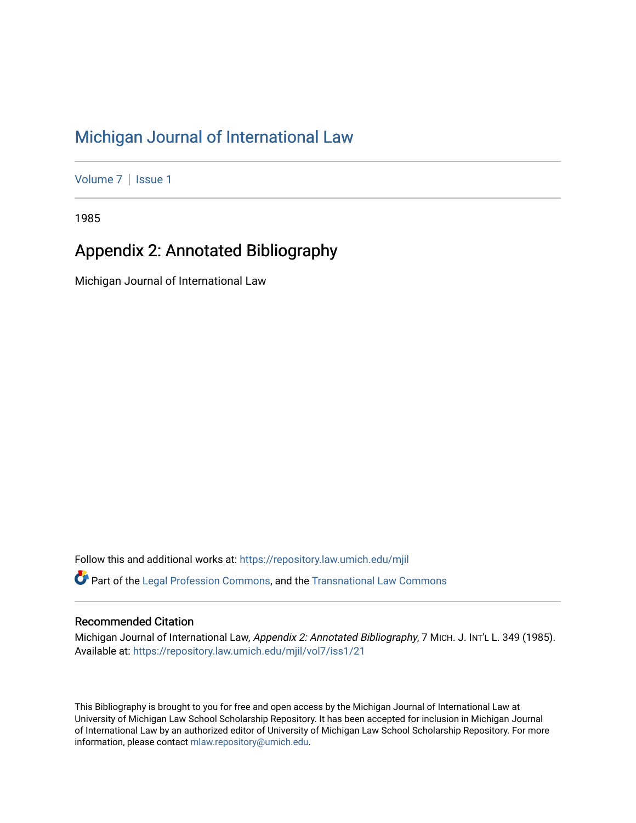## [Michigan Journal of International Law](https://repository.law.umich.edu/mjil)

[Volume 7](https://repository.law.umich.edu/mjil/vol7) | Issue 1

1985

### Appendix 2: Annotated Bibliography

Michigan Journal of International Law

Follow this and additional works at: [https://repository.law.umich.edu/mjil](https://repository.law.umich.edu/mjil?utm_source=repository.law.umich.edu%2Fmjil%2Fvol7%2Fiss1%2F21&utm_medium=PDF&utm_campaign=PDFCoverPages)   $\bullet$  Part of the [Legal Profession Commons](http://network.bepress.com/hgg/discipline/1075?utm_source=repository.law.umich.edu%2Fmjil%2Fvol7%2Fiss1%2F21&utm_medium=PDF&utm_campaign=PDFCoverPages), and the [Transnational Law Commons](http://network.bepress.com/hgg/discipline/1123?utm_source=repository.law.umich.edu%2Fmjil%2Fvol7%2Fiss1%2F21&utm_medium=PDF&utm_campaign=PDFCoverPages)

### Recommended Citation

Michigan Journal of International Law, Appendix 2: Annotated Bibliography, 7 MICH. J. INT'L L. 349 (1985). Available at: [https://repository.law.umich.edu/mjil/vol7/iss1/21](https://repository.law.umich.edu/mjil/vol7/iss1/21?utm_source=repository.law.umich.edu%2Fmjil%2Fvol7%2Fiss1%2F21&utm_medium=PDF&utm_campaign=PDFCoverPages) 

This Bibliography is brought to you for free and open access by the Michigan Journal of International Law at University of Michigan Law School Scholarship Repository. It has been accepted for inclusion in Michigan Journal of International Law by an authorized editor of University of Michigan Law School Scholarship Repository. For more information, please contact [mlaw.repository@umich.edu](mailto:mlaw.repository@umich.edu).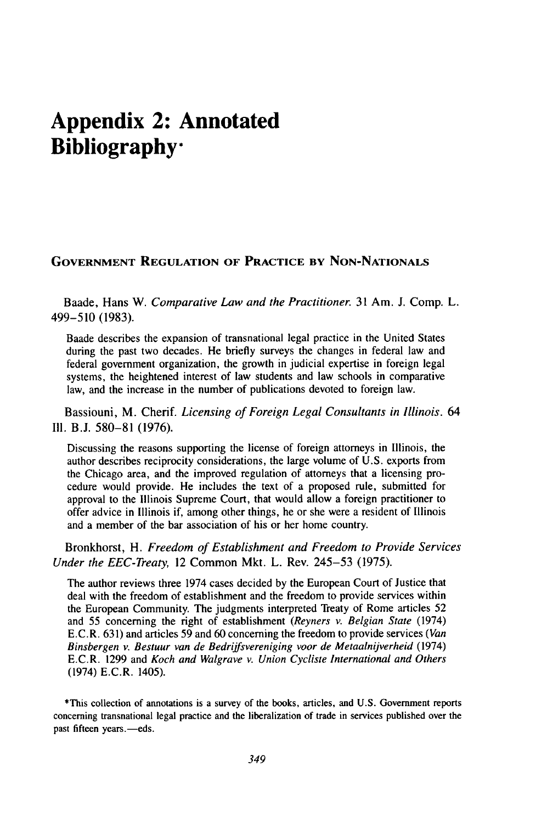# **Appendix 2: Annotated Bibliography"**

#### **GOVERNMENT REGULATION OF PRACTICE BY NON-NATIONALS**

Baade, Hans W. *Comparative Law and the Practitioner.* 31 Am. J. Comp. L. 499-510 (1983).

Baade describes the expansion of transnational legal practice in the United States during the past two decades. He briefly surveys the changes in federal law and federal government organization, the growth in judicial expertise in foreign legal systems, the heightened interest of law students and law schools in comparative law, and the increase in the number of publications devoted to foreign law.

Bassiouni, M. Cherif. *Licensing of Foreign Legal Consultants in Illinois.* 64 **I11.** B.J. 580-81 (1976).

Discussing the reasons supporting the license of foreign attorneys in Illinois, the author describes reciprocity considerations, the large volume of U.S. exports from the Chicago area, and the improved regulation of attorneys that a licensing procedure would provide. He includes the text of a proposed rule, submitted for approval to the Illinois Supreme Court, that would allow a foreign practitioner to offer advice in Illinois if, among other things, he or she were a resident of Illinois and a member of the bar association of his or her home country.

Bronkhorst, H. *Freedom of Establishment and Freedom to Provide Services Under the EEC-Treaty,* 12 Common Mkt. L. Rev. 245-53 (1975).

The author reviews three 1974 cases decided by the European Court of Justice that deal with the freedom of establishment and the freedom to provide services within the European Community. The judgments interpreted Treaty of Rome articles 52 and 55 concerning the right of establishment *(Reyners* v. *Belgian State* (1974) E.C.R. 631) and articles 59 and 60 concerning the freedom to provide services *(Van Binsbergen v. Bestuur van de Bedriffsvereniging voor de Metaalnijverheid* (1974) E.C.R. 1299 and *Koch and Walgrave v. Union Cycliste International and Others* (1974) E.C.R. 1405).

\*This collection of annotations is a survey of the books, articles, and U.S. Government reports concerning transnational legal practice and the liberalization of trade in services published over the past fifteen years.-eds.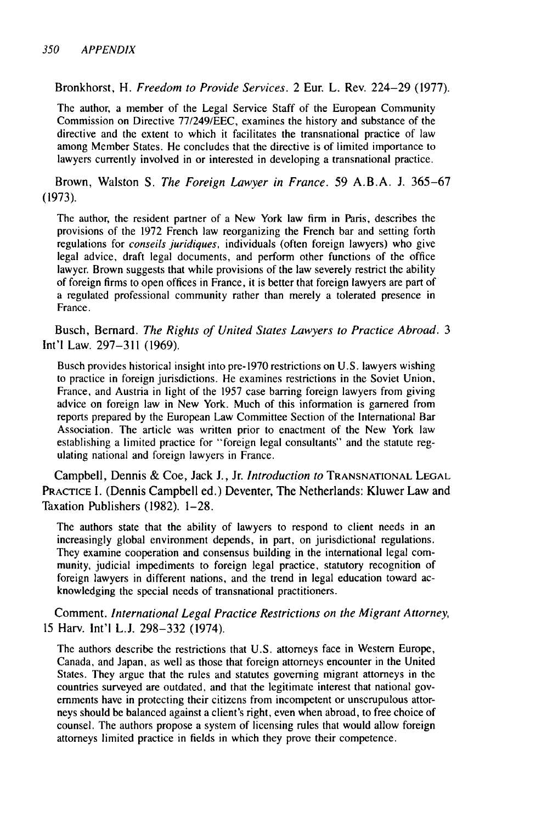Bronkhorst, H. Freedom to Provide Services. 2 Eur. L. Rev. 224-29 (1977).

The author, a member of the Legal Service Staff of the European Community Commission on Directive 77/249/EEC, examines the history and substance of the directive and the extent to which it facilitates the transnational practice of law among Member States. He concludes that the directive is of limited importance to lawyers currently involved in or interested in developing a transnational practice.

Brown, Walston S. The Foreign Lawyer in France. 59 A.B.A. J. 365-67 (1973).

The author, the resident partner of a New York law firm in Paris, describes the provisions of the 1972 French law reorganizing the French bar and setting forth regulations for conseils juridiques, individuals (often foreign lawyers) who give legal advice, draft legal documents, and perform other functions of the office lawyer. Brown suggests that while provisions of the law severely restrict the ability of foreign firms to open offices in France, it is better that foreign lawyers are part of a regulated professional community rather than merely a tolerated presence in France.

Busch, Bernard. The Rights of United States Lawyers to Practice Abroad. 3 Int'l Law. 297-311 (1969).

Busch provides historical insight into pre-1970 restrictions on U.S. lawyers wishing to practice in foreign jurisdictions. He examines restrictions in the Soviet Union, France, and Austria in light of the 1957 case barring foreign lawyers from giving advice on foreign law in New York. Much of this information is garnered from reports prepared by the European Law Committee Section of the International Bar Association. The article was written prior to enactment of the New York law establishing a limited practice for "foreign legal consultants" and the statute regulating national and foreign lawyers in France.

Campbell, Dennis & Coe, Jack **J.,** Jr. Introduction to **TRANSNATIONAL LEGAL** PRACTICE 1. (Dennis Campbell ed.) Deventer, The Netherlands: Kluwer Law and Taxation Publishers (1982). 1-28.

The authors state that the ability of lawyers to respond to client needs in an increasingly global environment depends, in part, on jurisdictional regulations. They examine cooperation and consensus building in the international legal community, judicial impediments to foreign legal practice, statutory recognition of foreign lawyers in different nations, and the trend in legal education toward acknowledging the special needs of transnational practitioners.

Comment. International Legal Practice Restrictions on the Migrant Attorney, 15 Harv. Int'l L.J. 298-332 (1974).

The authors describe the restrictions that U.S. attorneys face in Western Europe, Canada, and Japan, as well as those that foreign attorneys encounter in the United States. They argue that the rules and statutes governing migrant attorneys in the countries surveyed are outdated, and that the legitimate interest that national governments have in protecting their citizens from incompetent or unscrupulous attorneys should be balanced against a client's right, even when abroad, to free choice of counsel. The authors propose a system of licensing rules that would allow foreign attorneys limited practice in fields in which they prove their competence.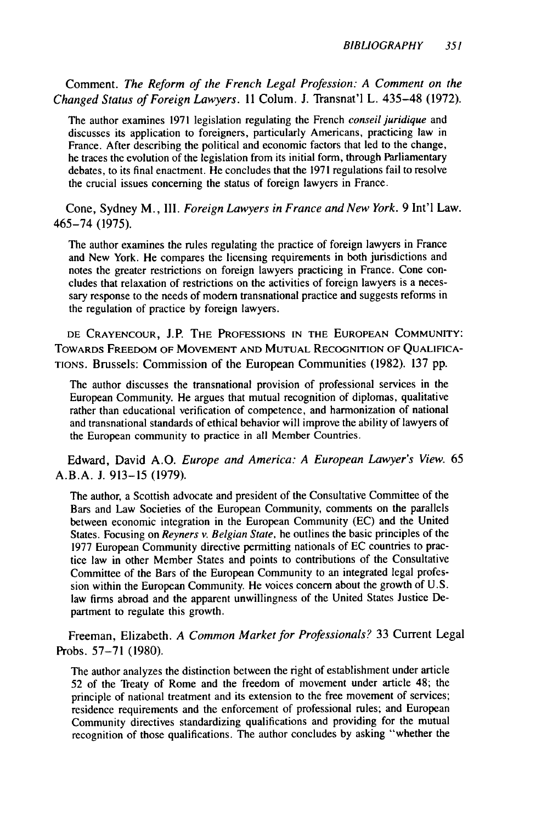Comment. *The Reform of the French Legal Profession: A Comment on the Changed Status of Foreign Lawyers.* 11 Colum. J. Transnat'l L. 435-48 (1972).

The author examines 1971 legislation regulating the French *conseil juridique* and discusses its application to foreigners, particularly Americans, practicing law in France. After describing the political and economic factors that led to the change, he traces the evolution of the legislation from its initial form, through Parliamentary debates, to its final enactment. He concludes that the 1971 regulations fail to resolve the crucial issues concerning the status of foreign lawyers in France.

Cone, Sydney M., III. *Foreign Lawyers in France and New York.* 9 Int'l Law. 465-74 (1975).

The author examines the rules regulating the practice of foreign lawyers in France and New York. He compares the licensing requirements in both jurisdictions and notes the greater restrictions on foreign lawyers practicing in France. Cone concludes that relaxation of restrictions on the activities of foreign lawyers is a necessary response to the needs of modem transnational practice and suggests reforms in the regulation of practice by foreign lawyers.

**DE** CRAYENCOUR, J.P. THE **PROFESSIONS IN** THE **EUROPEAN COMMUNITY:** TOWARDS FREEDOM OF **MOVEMENT AND MUTUAL RECOGNITION** OF **QUALIFICA-**TIONS. Brussels: Commission of the European Communities (1982). 137 pp.

The author discusses the transnational provision of professional services in the European Community. He argues that mutual recognition of diplomas, qualitative rather than educational verification of competence, and harmonization of national and transnational standards of ethical behavior will improve the ability of lawyers of the European community to practice in all Member Countries.

Edward, David A.O. *Europe and America: A European Lawyer's View.* 65 A.B.A. J. 913-15 (1979).

The author, a Scottish advocate and president of the Consultative Committee of the Bars and Law Societies of the European Community, comments on the parallels between economic integration in the European Community (EC) and the United States. Focusing on *Reyners v. Belgian State,* he outlines the basic principles of the 1977 European Community directive permitting nationals of EC countries to practice law in other Member States and points to contributions of the Consultative Committee of the Bars of the European Community to an integrated legal profession within the European Community. He voices concern about the growth of U.S. law firms abroad and the apparent unwillingness of the United States Justice Department to regulate this growth.

Freeman, Elizabeth. *A Common Market for Professionals?* 33 Current Legal Probs. 57-71 (1980).

The author analyzes the distinction between the right of establishment under article 52 of the Treaty of Rome and the freedom of movement under article 48; the principle of national treatment and its extension to the free movement of services; residence requirements and the enforcement of professional rules; and European Community directives standardizing qualifications and providing for the mutual recognition of those qualifications. The author concludes by asking "whether the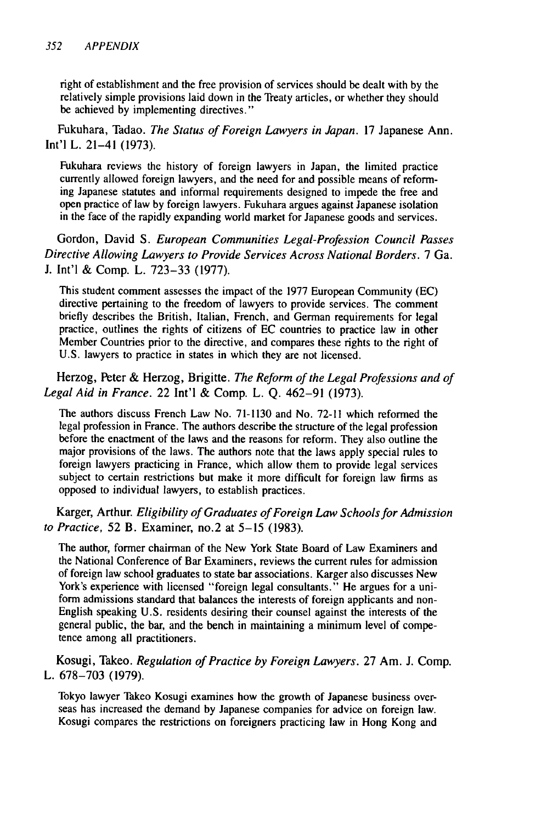right of establishment and the free provision of services should be dealt with by the relatively simple provisions laid down in the Treaty articles, or whether they should be achieved by implementing directives."

Fukuhara, Tadao. *The Status of Foreign Lawyers in Japan.* 17 Japanese Ann. Int'l L. 21-41 (1973).

Fukuhara reviews the history of foreign lawyers in Japan, the limited practice currently allowed foreign lawyers, and the need for and possible means of reforming Japanese statutes and informal requirements designed to impede the free and open practice of law by foreign lawyers. Fukuhara argues against Japanese isolation in the face of the rapidly expanding world market for Japanese goods and services.

Gordon, David S. *European Communities Legal-Profession Council Passes Directive Allowing Lawyers to Provide Services Across National Borders.* 7 Ga. J. Int'l & Comp. L. 723-33 (1977).

This student comment assesses the impact of the 1977 European Community (EC) directive pertaining to the freedom of lawyers to provide services. The comment briefly describes the British, Italian, French, and German requirements for legal practice, outlines the rights of citizens of EC countries to practice law in other Member Countries prior to the directive, and compares these rights to the right of U.S. lawyers to practice in states in which they are not licensed.

#### Herzog, Peter & Herzog, Brigitte. *The Reform of the Legal Professions and of Legal Aid in France.* 22 Int'l & Comp. L. Q. 462-91 (1973).

The authors discuss French Law No. 71-1130 and No. **72-11** which reformed the legal profession in France. The authors describe the structure of the legal profession before the enactment of the laws and the reasons for reform. They also outline the major provisions of the laws. The authors note that the laws apply special rules to foreign lawyers practicing in France, which allow them to provide legal services subject to certain restrictions but make it more difficult for foreign law firms as opposed to individual lawyers, to establish practices.

Karger, Arthur. *Eligibility of Graduates of Foreign Law Schools for Admission to Practice,* 52 B. Examiner, no.2 at 5-15 (1983).

The author, former chairman of the New York State Board of Law Examiners and the National Conference of Bar Examiners, reviews the current rules for admission of foreign law school graduates to state bar associations. Karger also discusses New York's experience with licensed "foreign legal consultants." He argues for a uniform admissions standard that balances the interests of foreign applicants and non-English speaking U.S. residents desiring their counsel against the interests of the general public, the bar, and the bench in maintaining a minimum level of competence among all practitioners.

Kosugi, Takeo. *Regulation of Practice by Foreign Lawyers.* 27 Am. J. Comp. L. 678-703 (1979).

Tokyo lawyer Takeo Kosugi examines how the growth of Japanese business over seas has increased the demand by Japanese companies for advice on foreign law. Kosugi compares the restrictions on foreigners practicing law in Hong Kong and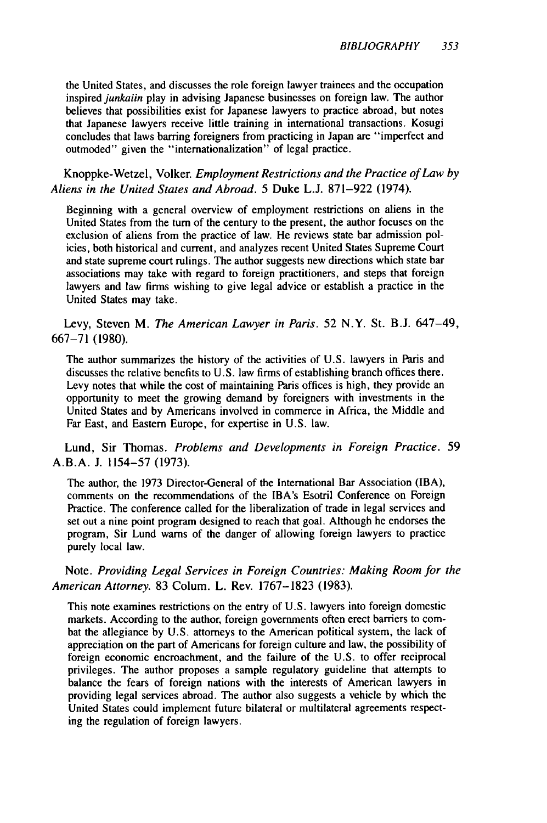the United States, and discusses the role foreign lawyer trainees and the occupation inspired *junkaiin* play in advising Japanese businesses on foreign law. The author believes that possibilities exist for Japanese lawyers to practice abroad, but notes that Japanese lawyers receive little training in international transactions. Kosugi concludes that laws barring foreigners from practicing in Japan are "imperfect and outmoded" given the "internationalization" of legal practice.

Knoppke-Wetzel, Volker. *Employment Restrictions and the Practice of Law by Aliens in the United States and Abroad.* 5 Duke L.J. 871-922 (1974).

Beginning with a general overview of employment restrictions on aliens in the United States from the turn of the century to the present, the author focuses on the exclusion of aliens from the practice of law. He reviews state bar admission policies, both historical and current, and analyzes recent United States Supreme Court and state supreme court rulings. The author suggests new directions which state bar associations may take with regard to foreign practitioners, and steps that foreign lawyers and law firms wishing to give legal advice or establish a practice in the United States may take.

Levy, Steven M. *The American Lawyer in Paris.* 52 N.Y. St. B.J. 647-49, 667-71 (1980).

The author summarizes the history of the activities of U.S. lawyers in Paris and discusses the relative benefits to U.S. law firms of establishing branch offices there. Levy notes that while the cost of maintaining Paris offices is high, they provide an opportunity to meet the growing demand by foreigners with investments in the United States and by Americans involved in commerce in Africa, the Middle and Far East, and Eastern Europe, for expertise in U.S. law.

#### Lund, Sir Thomas. *Problems and Developments in Foreign Practice.* 59 A.B.A. **J.** 1154-57 (1973).

The author, the 1973 Director-General of the International Bar Association (IBA), comments on the recommendations of the IBA's Esotril Conference on Foreign Practice. The conference called for the liberalization of trade in legal services and set out a nine point program designed to reach that goal. Although he endorses the program, Sir Lund warns of the danger of allowing foreign lawyers to practice purely local law.

#### Note. *Providing Legal Services in Foreign Countries: Making Room for the American Attorney.* 83 Colum. L. Rev. 1767-1823 (1983).

This note examines restrictions on the entry of U.S. lawyers into foreign domestic markets. According to the author, foreign governments often erect barriers to combat the allegiance by U.S. attorneys to the American political system, the lack of appreciation on the part of Americans for foreign culture and law, the possibility of foreign economic encroachment, and the failure of the U.S. to offer reciprocal privileges. The author proposes a sample regulatory guideline that attempts to balance the fears of foreign nations with the interests of American lawyers in providing legal services abroad. The author also suggests a vehicle by which the United States could implement future bilateral or multilateral agreements respecting the regulation of foreign lawyers.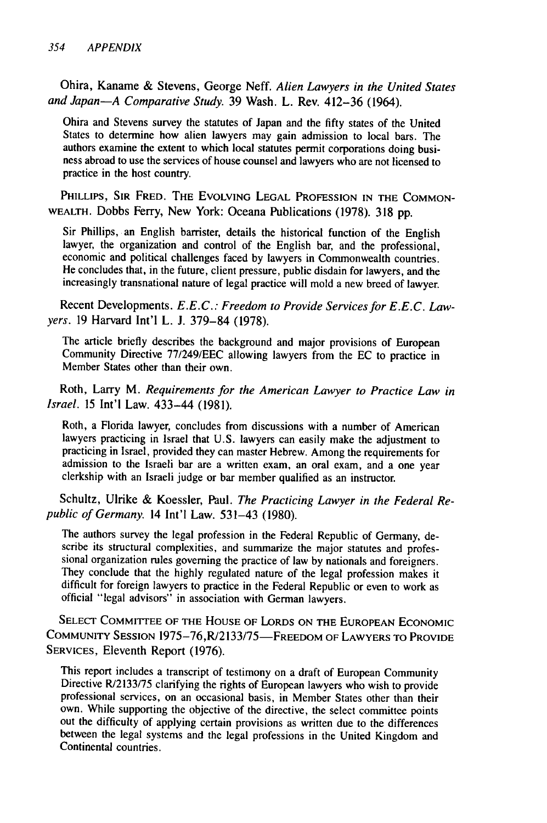Ohira, Kaname & Stevens, George Neff. *Alien Lawyers in the United States and Japan-A Comparative Study.* 39 Wash. L. Rev. 412-36 (1964).

Ohira and Stevens survey the statutes of Japan and the fifty states of the United States to determine how alien lawyers may gain admission to local bars. The authors examine the extent to which local statutes permit corporations doing busi- ness abroad to use the services of house counsel and lawyers who are not licensed to practice in the host country.

PHILLIPS, SIR FRED. THE EVOLVING LEGAL PROFESSION IN THE COMMON-WEALTH. Dobbs Ferry, New York: Oceana Publications (1978). 318 pp.

Sir Phillips, an English barrister, details the historical function of the English lawyer, the organization and control of the English bar, and the professional, economic and political challenges faced by lawyers in Commonwealth countries. He concludes that, in the future, client pressure, public disdain for lawyers, and the increasingly transnational nature of legal practice will mold a new breed of lawyer.

Recent Developments. *E.E.C.: Freedom to Provide Services for E.E.C. Lawyers.* 19 Harvard Int'l L. J. 379-84 (1978).

The article briefly describes the background and major provisions of European Community Directive 77/249/EEC allowing lawyers from the EC to practice in Member States other than their own.

Roth, Larry M. *Requirements for the American Lawyer to Practice Law in Israel.* 15 Int'l Law. 433-44 (1981).

Roth, a Florida lawyer, concludes from discussions with a number of American lawyers practicing in Israel that U.S. lawyers can easily make the adjustment to practicing in Israel, provided they can master Hebrew. Among the requirements for admission to the Israeli bar are a written exam, an oral exam, and a one year clerkship with an Israeli judge or bar member qualified as an instructor.

Schultz, Ulrike & Koessler, Paul. *The Practicing Lawyer in the Federal Republic of Germany.* 14 Int'l Law. 531-43 (1980).

The authors survey the legal profession in the Federal Republic of Germany, describe its structural complexities, and summarize the major statutes and professional organization rules governing the practice of law by nationals and foreigners. They conclude that the highly regulated nature of the legal profession makes it difficult for foreign lawyers to practice in the Federal Republic or even to work as official "legal advisors" in association with German lawyers.

**SELECT** COMMITTEE OF **THE** HOUSE OF LORDS **ON** THE **EUROPEAN ECONOMIC COMMUNITY SESSION 1975-76,R/2133/75-FREEDOM** OF LAWYERS TO PROVIDE **SERVICES,** Eleventh Report (1976).

This report includes a transcript of testimony on a draft of European Community Directive R/2133/75 clarifying the rights of European lawyers who wish to provide professional services, on an occasional basis, in Member States other than their own. While supporting the objective of the directive, the s out the difficulty of applying certain provisions as written due to the differences between the legal systems and the legal professions in the United Kingdom and Continental countries.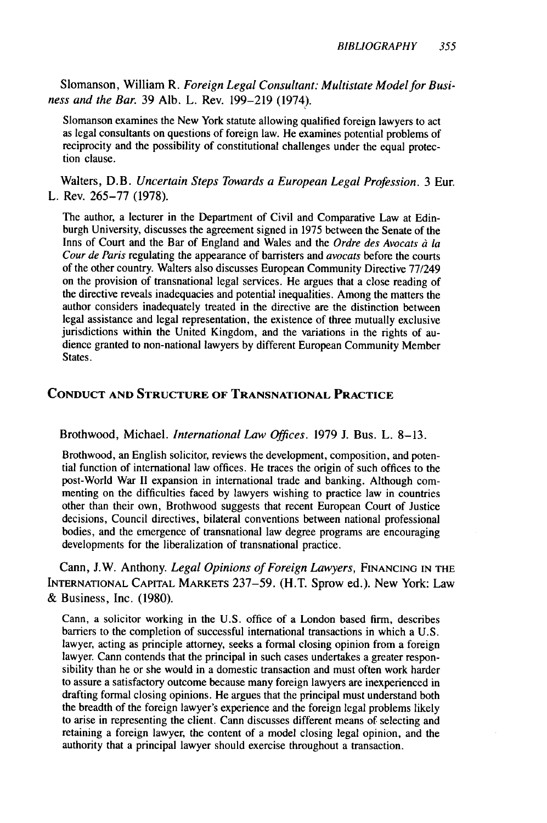Slomanson, William R. *Foreign Legal Consultant: Multistate Model for Business and the Bar.* 39 Alb. L. Rev. 199-219 (1974).

Slomanson examines the New York statute allowing qualified foreign lawyers to act as legal consultants on questions of foreign law. He examines potential problems of reciprocity and the possibility of constitutional challenges under the equal protection clause.

Walters, D.B. *Uncertain Steps Towards a European Legal Profession.* 3 Eur. L. Rev. 265-77 (1978).

The author, a lecturer in the Department of Civil and Comparative Law at Edinburgh University, discusses the agreement signed in 1975 between the Senate of the Inns of Court and the Bar of England and Wales and the *Ordre des Avocats d la Cour de Paris* regulating the appearance of barristers and *avocats* before the courts of the other country. Walters also discusses European Community Directive 77/249 on the provision of transnational legal services. He argues that a close reading of the directive reveals inadequacies and potential inequalities. Among the matters the author considers inadequately treated in the directive are the distinction between legal assistance and legal representation, the existence of three mutually exclusive jurisdictions within the United Kingdom, and the variations in the rights of audience granted to non-national lawyers by different European Community Member States.

#### **CONDUCT AND STRUCTURE OF TRANSNATIONAL PRACTICE**

Brothwood, Michael. *International Law Offices.* **1979 J.** Bus. L. **8-13.**

Brothwood, an English solicitor, reviews the development, composition, and potential function of international law offices. He traces the origin of such offices to the post-World War **II** expansion in international trade and banking. Although com menting on the difficulties faced **by** lawyers wishing to practice law in countries other than their own, Brothwood suggests that recent European Court of Justice decisions, Council directives, bilateral conventions between national professional bodies, and the emergence of transnational law degree programs are encouraging developments for the liberalization of transnational practice.

Cann, J.W. Anthony. *Legal Opinions of Foreign Lawyers,* **FINANCING** IN THE **INTERNATIONAL** CAPITAL MARKETS 237-59. (H.T. Sprow ed.). New York: Law & Business, Inc. (1980).

Cann, a solicitor working in the U.S. office of a London based firm, describes barriers to the completion of successful international transactions in which a U.S. lawyer, acting as principle attorney, seeks a formal closing opinion from a foreign lawyer. Cann contends that the principal in such cases undertakes a greater responsibility than he or she would in a domestic transaction and must often work harder to assure a satisfactory outcome because many foreign lawyers are inexperienced in drafting formal closing opinions. He argues that the principal must understand both the breadth of the foreign lawyer's experience and the foreign legal problems likely to arise in representing the client. Cann discusses different means of selecting and retaining a foreign lawyer, the content of a model closing legal opinion, and the authority that a principal lawyer should exercise throughout a transaction.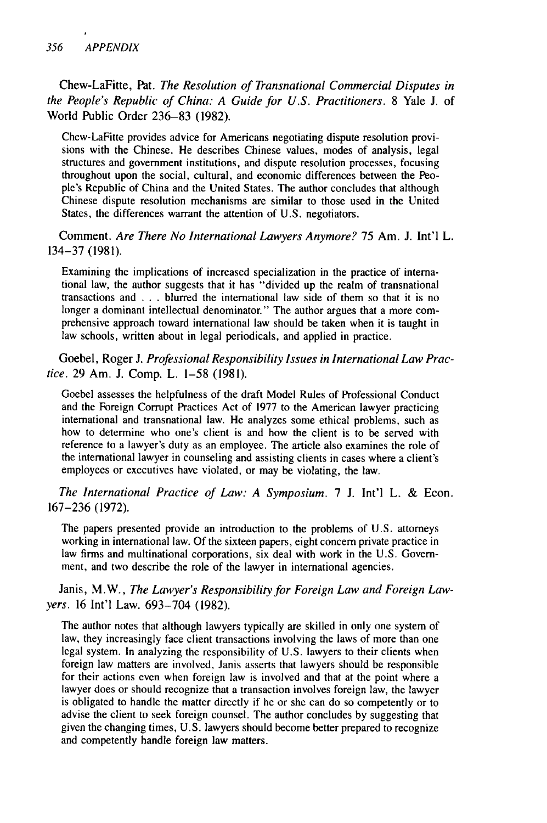Chew-LaFitte, Pat. *The Resolution of Transnational Commercial Disputes in the People's Republic of China: A Guide for U.S. Practitioners.* 8 Yale J. of World Public Order 236-83 (1982).

Chew-LaFitte provides advice for Americans negotiating dispute resolution provisions with the Chinese. He describes Chinese values, modes of analysis, legal structures and government institutions, and dispute resolution processes, focusing throughout upon the social, cultural, and economic differences between the People's Republic of China and the United States. The author concludes that although Chinese dispute resolution mechanisms are similar to those used in the United States, the differences warrant the attention of U.S. negotiators.

Comment. *Are There No International Lawyers Anymore?* 75 Am. **J.** Int'l L. 134-37 (1981).

Examining the implications of increased specialization in the practice of international law, the author suggests that it has "divided up the realm of transnational transactions and . . . blurred the international law side of them so that it is no longer a dominant intellectual denominator." The author argues that a more com- prehensive approach toward international law should be taken when it is taught in law schools, written about in legal periodicals, and applied in practice.

Goebel, Roger J. *Professional Responsibility Issues in International Law Practice.* 29 Am. **J.** Comp. L. 1-58 (1981).

Goebel assesses the helpfulness of the draft Model Rules of Professional Conduct and the Foreign Corrupt Practices Act of 1977 to the American lawyer practicing international and transnational law. He analyzes some ethical problems, such as how to determine who one's client is and how the client is to be served with reference to a lawyer's duty as an employee. The article also examines the role of the international lawyer in counseling and assisting clients in cases where a client's employees or executives have violated, or may be violating, the law.

*The International Practice of Law: A Symposium.* 7 **J.** Int'l L. & Econ. 167-236 (1972).

The papers presented provide an introduction to the problems of U.S. attorneys working in international law. Of the sixteen papers, eight concern private practice in law firms and multinational corporations, six deal with work in the U.S. Government, and two describe the role of the lawyer in international agencies.

Janis, M.W., *The Lawyer's Responsibility for Foreign Law and Foreign Lawyers.* 16 Int'l Law. 693-704 (1982).

The author notes that although lawyers typically are skilled in only one system of law, they increasingly face client transactions involving the laws of more than one legal system. In analyzing the responsibility of U.S. lawyers to their clients when foreign law matters are involved, Janis asserts that lawyers should be responsible for their actions even when foreign law is involved and that at the point where a lawyer does or should recognize that a transaction involves foreign law, the lawyer is obligated to handle the matter directly if he or she can do so competently or to advise the client to seek foreign counsel. The author concludes by suggesting that given the changing times, U.S. lawyers should become better prepared to recognize and competently handle foreign law matters.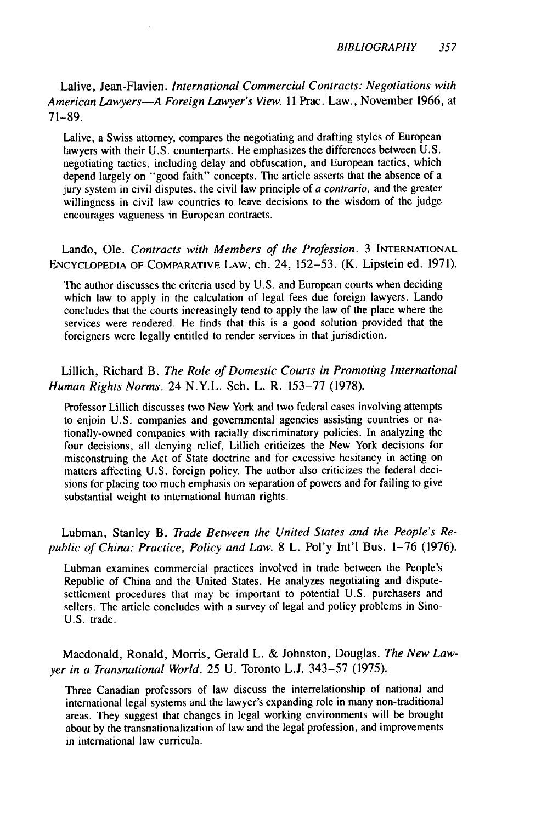Lalive, Jean-Flavien. *International Commercial Contracts: Negotiations with American Lawyers-A Foreign Lawyer's View.* 11 Prac. Law., November 1966, at 71-89.

Lalive, a Swiss attorney, compares the negotiating and drafting styles of European lawyers with their U.S. counterparts. He emphasizes the differences between U.S. negotiating tactics, including delay and obfuscation, and European tactics, which depend largely on "good faith" concepts. The article asserts that the absence of a jury system in civil disputes, the civil law principle of *a contrario,* and the greater willingness in civil law countries to leave decisions to the wisdom of the judge encourages vagueness in European contracts.

Lando, Ole. *Contracts with Members of the Profession.* <sup>3</sup>**INTERNATIONAL ENCYCLOPEDIA** OF COMPARATIVE LAW, ch. 24, 152-53. (K. Lipstein ed. 1971).

The author discusses the criteria used by U.S. and European courts when deciding which law to apply in the calculation of legal fees due foreign lawyers. Lando concludes that the courts increasingly tend to apply the law of the place where the services were rendered. He finds that this is a good solution provided that the foreigners were legally entitled to render services in that jurisdiction.

#### Lillich, Richard B. *The Role of Domestic Courts in Promoting International Human Rights Norms.* 24 N.Y.L. Sch. L. R. 153-77 (1978).

Professor Lillich discusses two New York and two federal cases involving attempts to enjoin U.S. companies and governmental agencies assisting countries or nationally-owned companies with racially discriminatory policies. In analyzing the four decisions, all denying relief, Lillich criticizes the New York decisions for misconstruing the Act of State doctrine and for excessive hesitancy in acting on matters affecting U.S. foreign policy. The author also criticizes the federal decisions for placing too much emphasis on separation of powers and for failing to give substantial weight to international human rights.

Lubman, Stanley B. *Trade Between the United States and the People's Republic of China: Practice, Policy and Law.* 8 L. Pol'y Int'l Bus. 1-76 (1976).

Lubman examines commercial practices involved in trade between the People's Republic of China and the United States. He analyzes negotiating and disputesettlement procedures that may be important to potential U.S. purchasers and sellers. The article concludes with a survey of legal and policy problems in Sino-U.S. trade.

Macdonald, Ronald, Morris, Gerald L. & Johnston, Douglas. *The New Lawyer in a Transnational World.* 25 U. Toronto L.J. 343-57 (1975).

Three Canadian professors of law discuss the interrelationship of national and international legal systems and the lawyer's expanding role in many non-traditional areas. They suggest that changes in legal working environments will be brought about by the transnationalization of law and the legal profession, and improvements in international law curricula.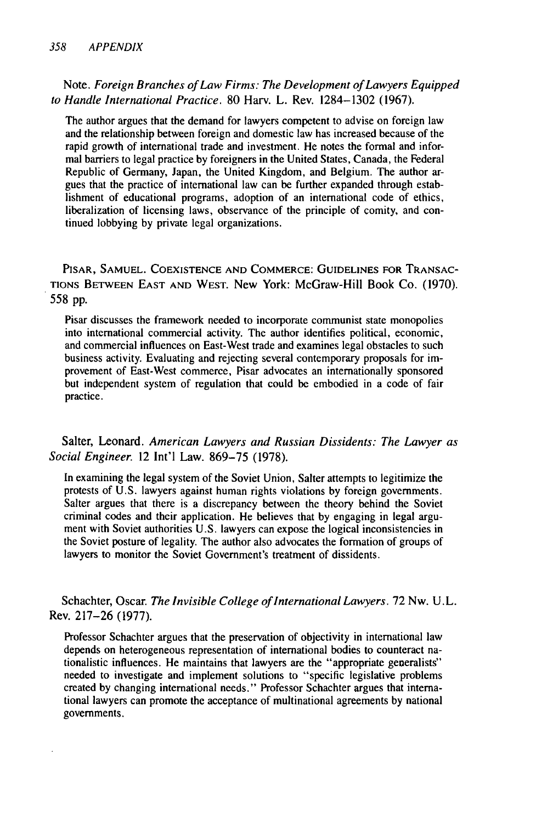Note. *Foreign Branches of Law Firms: The Development of Lawyers Equipped to Handle International Practice.* 80 Harv. L. Rev. 1284-1302 (1967).

The author argues that the demand for lawyers competent to advise on foreign law and the relationship between foreign and domestic law has increased because of the rapid growth of international trade and investment. He notes the formal and informal barriers to legal practice by foreigners in the United States, Canada, the Federal Republic of Germany, Japan, the United Kingdom, and Belgium. The author argues that the practice of international law can be further expanded through establishment of educational programs, adoption of an international code of ethics, liberalization of licensing laws, observance of the principle of comity, and continued lobbying by private legal organizations.

PISAR, **SAMUEL. COEXISTENCE AND** COMMERCE: **GUIDELINES** FOR **TRANSAC-**TIONS **BETWEEN EAST AND** WEST. New York: McGraw-Hill Book Co. (1970). 558 pp.

Pisar discusses the framework needed to incorporate communist state monopolies into international commercial activity. The author identifies political, economic, and commercial influences on East-West trade and examines legal obstacles to such business activity. Evaluating and rejecting several contemporary proposals for improvement of East-West commerce, Pisar advocates an internationally sponsored but independent system of regulation that could be embodied in a code of fair practice.

Salter, Leonard. *American Lawyers and Russian Dissidents: The Lawyer as Social Engineer.* 12 Int'l Law. 869-75 (1978).

In examining the legal system of the Soviet Union, Salter attempts to legitimize the protests of U.S. lawyers against human rights violations by foreign governments. Salter argues that there is a discrepancy between the theory behind the Soviet criminal codes and their application. He believes that by engaging in legal argument with Soviet authorities U.S. lawyers can expose the logical inconsistencies in the Soviet posture of legality. The author also advocates the formation of groups of lawyers to monitor the Soviet Government's treatment of dissidents.

Schachter, Oscar. The *Invisible College of International Lawyers.* 72 Nw. U.L. Rev. 217-26 (1977).

Professor Schachter argues that the preservation of objectivity in international law depends on heterogeneous representation of international bodies to counteract nationalistic influences. He maintains that lawyers are the "appropriate geoeralists" needed to investigate and implement solutions to "specific legislative problems created by changing international needs." Professor Schachter argues that international lawyers can promote the acceptance of multinational agreements by national governments.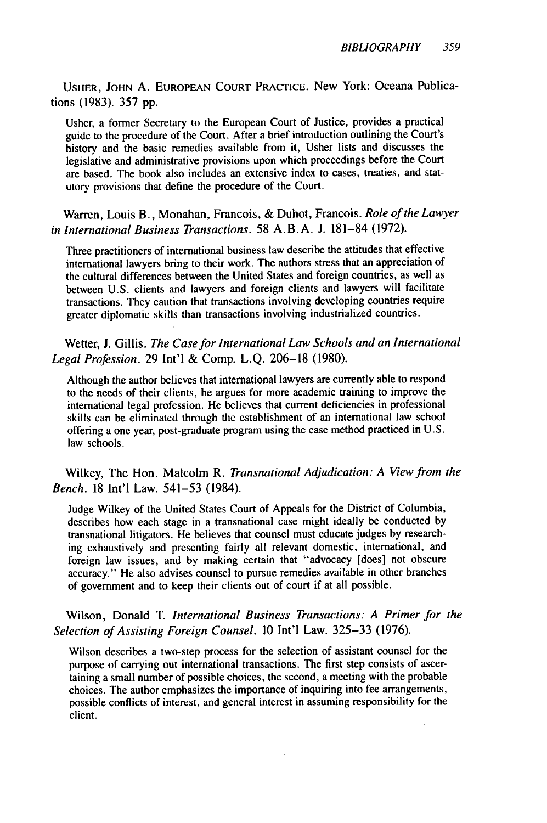USHER, JOHN A. EUROPEAN COURT PRACTICE. New York: Oceana Publications (1983). 357 pp.

Usher, a former Secretary to the European Court of Justice, provides a practical guide to the procedure of the Court. After a brief introduction outlining the Court's history and the basic remedies available from it, Usher lists and discusses the legislative and administrative provisions upon which proceedings before the Court are based. The book also includes an extensive index to cases, treaties, and statutory provisions that define the procedure of the Court.

Warren, Louis B., Monahan, Francois, & Duhot, Francois. *Role of the Lawyer in International Business Transactions.* 58 A.B.A. J. 181-84 (1972).

Three practitioners of international business law describe the attitudes that effective international lawyers bring to their work. The authors stress that an appreciation of the cultural differences between the United States and foreign countries, as well as between U.S. clients and lawyers and foreign clients and lawyers will facilitate transactions. They caution that transactions involving developing countries require greater diplomatic skills than transactions involving industrialized countries.

Wetter, J. Gillis. *The Case for International Law Schools and an International Legal Profession.* 29 Int'l & Comp. L.Q. 206-18 (1980).

Although the author believes that international lawyers are currently able to respond to the needs of their clients, he argues for more academic training to improve the international legal profession. He believes that current deficiencies in professional skills can be eliminated through the establishment of an international law school offering a one year, post-graduate program using the case method practiced in U.S. law schools.

Wilkey, The Hon. Malcolm R. *Transnational Adjudication: A View from the Bench.* 18 Int'l Law. 541-53 (1984).

Judge Wilkey of the United States Court of Appeals for the District of Columbia, describes how each stage in a transnational case might ideally be conducted by transnational litigators. He believes that counsel must educate judges by researching exhaustively and presenting fairly all relevant domestic, international, and foreign law issues, and by making certain that "advocacy [does] not obscure accuracy." He also advises counsel to pursue remedies available in other branches of government and to keep their clients out of court if at all possible.

Wilson, Donald T. *International Business Transactions: A Primer for the Selection of Assisting Foreign Counsel. 10* Int'l Law. 325-33 (1976).

Wilson describes a two-step process for the selection of assistant counsel for the purpose of carrying out international transactions. The first step consists of ascertaining a small number of possible choices, the second, a meeting with the probable choices. The author emphasizes the importance of inquiring into fee arrangements, possible conflicts of interest, and general interest in assuming responsibility for the client.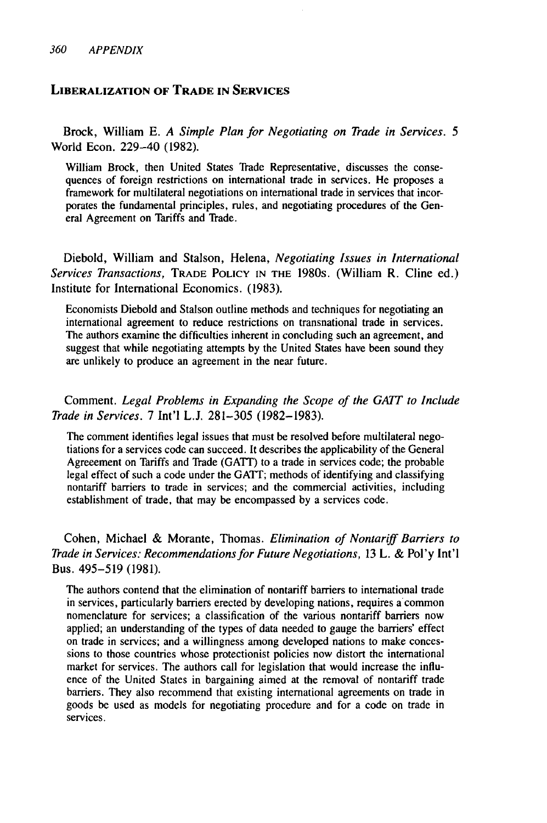#### **LIBERALIZATION OF TRADE IN SERVICES**

Brock, William E. *A Simple Plan for Negotiating on Trade in Services. 5* World Econ. 229-40 (1982).

William Brock, then United States Trade Representative, discusses the consequences of foreign restrictions on international trade in services. He proposes a framework for multilateral negotiations on international trade in services that incorporates the fundamental principles, rules, and negotiating procedures of the General Agreement on Tariffs and Trade.

Diebold, William and Stalson, Helena, *Negotiating Issues in International Services Transactions,* TRADE POLICY **IN** THE 1980s. (William R. Cline ed.) Institute for International Economics. (1983).

Economists Diebold and Stalson outline methods and techniques for negotiating an international agreement to reduce restrictions on transnational trade in services. The authors examine the difficulties inherent in concluding such an agreement, and suggest that while negotiating attempts by the United States have been sound they are unlikely to produce an agreement in the near future.

Comment. *Legal Problems in Expanding the Scope of the GAIT to Include Trade in Services.* 7 Int'l L.J. 281-305 (1982-1983).

The comment identifies legal issues that must be resolved before multilateral negotiations for a services code can succeed. It describes the applicability of the General Agreeement on Tariffs and Trade (GATT) to a trade in services code; the probable legal effect of such a code under the GATT; methods of identifying and classifying nontariff barriers to trade in services; and the commercial activities, including establishment of trade, that may be encompassed by a services code.

Cohen, Michael & Morante, Thomas. *Elimination of Nontariff Barriers to Trade in Services: Recommendations for Future Negotiations,* 13 L. & Pol'y Int'l Bus. 495-519 (1981).

The authors contend that the elimination of nontariff barriers to international trade in services, particularly barriers erected by developing nations, requires a common nomenclature for services; a classification of the various nontariff barriers now applied; an understanding of the types of data needed to gauge the barriers' effect on trade in services; and a willingness among developed nations to make concessions to those countries whose protectionist policies now distort the international market for services. The authors call for legislation that would increase the influence of the United States in bargaining aimed at the removal of nontariff trade barriers. They also recommend that existing international agreements on trade in goods be used as models for negotiating procedure and for a code on trade in services.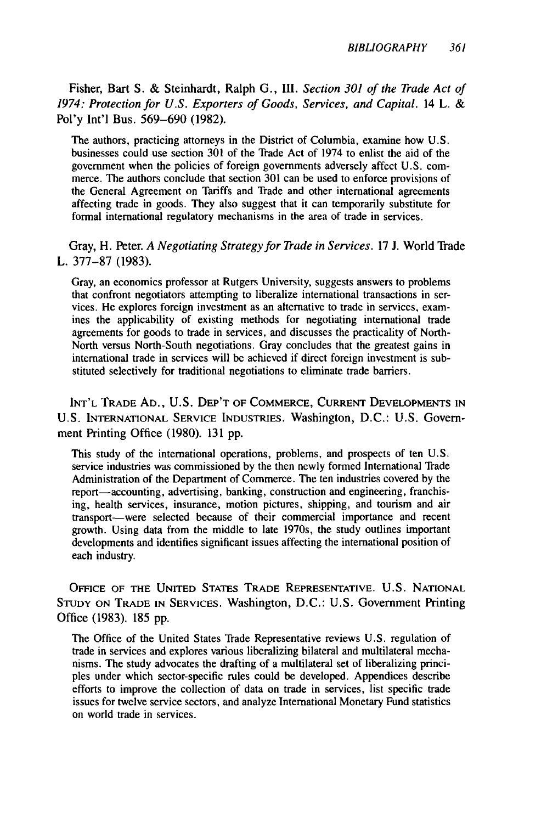Fisher, Bart S. & Steinhardt, Ralph **G.,** III. *Section 301 of the Trade Act of 1974: Protection for U.S. Exporters of Goods, Services, and Capital.* 14 L. & Pol'y Int'l Bus. 569-690 (1982).

The authors, practicing attorneys in the District of Columbia, examine how U.S. businesses could use section 301 of the Trade Act of 1974 to enlist the aid of the government when the policies of foreign governments adversely affect U.S. commerce. The authors conclude that section 301 can be used to enforce provisions of the General Agreement on Tariffs and Trade and other international agreements affecting trade in goods. They also suggest that it can temporarily substitute for formal international regulatory mechanisms in the area of trade in services.

Gray, H. Peter. *A Negotiating Strategy for Trade in Services.* 17 J. World Trade L. 377-87 (1983).

Gray, an economics professor at Rutgers University, suggests answers to problems that confront negotiators attempting to liberalize international transactions in services. He explores foreign investment as an alternative to trade in services, examines the applicability of existing methods for negotiating international trade agreements for goods to trade in services, and discusses the practicality of North-North versus North-South negotiations. Gray concludes that the greatest gains in international trade in services will be achieved if direct foreign investment is substituted selectively for traditional negotiations to eliminate trade barriers.

INT'L TRADE AD., U.S. DEP'T OF COMMERCE, CURRENT **DEVELOPMENTS** IN U.S. INTERNATIONAL SERVICE INDUSTRIES. Washington, D.C.: U.S. Government Printing Office (1980). 131 pp.

This study of the international operations, problems, and prospects of ten U.S. service industries was commissioned by the then newly formed International Trade Administration of the Department of Commerce. The ten industries covered by the report-accounting, advertising, banking, construction and engineering, franchising, health services, insurance, motion pictures, shipping, and tourism and air transport-were selected because of their commercial importance and recent growth. Using data from the middle to late 1970s, the study outlines important developments and identifies significant issues affecting the international position of each industry.

OFFICE OF THE UNITED STATES TRADE REPRESENTATIVE. U.S. NATIONAL STUDY ON TRADE IN SERVICES. Washington, D.C.: U.S. Government Printing Office (1983). 185 pp.

The Office of the United States Trade Representative reviews U.S. regulation of trade in services and explores various liberalizing bilateral and multilateral mechanisms. The study advocates the drafting of a multilateral set of liberalizing principles under which sector-specific rules could be developed. Appendices describe efforts to improve the collection of data on trade in services, list specific trade issues for twelve service sectors, and analyze International Monetary Fund statistics on world trade in services.